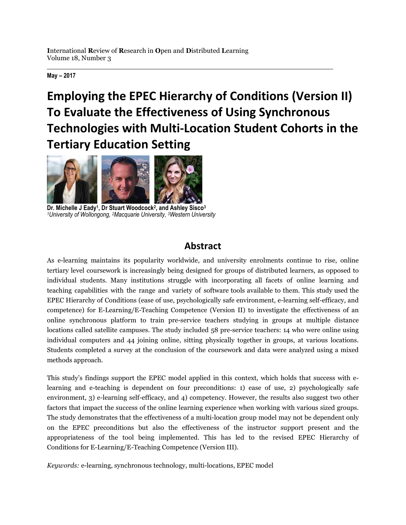**May – 2017**

# **Employing the EPEC Hierarchy of Conditions (Version II) To Evaluate the Effectiveness of Using Synchronous Technologies with Multi-Location Student Cohorts in the Tertiary Education Setting**



**Dr. Michelle J Eady<sup>1</sup> , Dr Stuart Woodcock<sup>2</sup> , and Ashley Sisco<sup>3</sup>** *<sup>1</sup>University of Wollongong, <sup>2</sup>Macquarie University, <sup>3</sup>Western University*

# **Abstract**

As e-learning maintains its popularity worldwide, and university enrolments continue to rise, online tertiary level coursework is increasingly being designed for groups of distributed learners, as opposed to individual students. Many institutions struggle with incorporating all facets of online learning and teaching capabilities with the range and variety of software tools available to them. This study used the EPEC Hierarchy of Conditions (ease of use, psychologically safe environment, e-learning self-efficacy, and competence) for E-Learning/E-Teaching Competence (Version II) to investigate the effectiveness of an online synchronous platform to train pre-service teachers studying in groups at multiple distance locations called satellite campuses. The study included 58 pre-service teachers: 14 who were online using individual computers and 44 joining online, sitting physically together in groups, at various locations. Students completed a survey at the conclusion of the coursework and data were analyzed using a mixed methods approach.

This study's findings support the EPEC model applied in this context, which holds that success with elearning and e-teaching is dependent on four preconditions: 1) ease of use, 2) psychologically safe environment, 3) e-learning self-efficacy, and 4) competency. However, the results also suggest two other factors that impact the success of the online learning experience when working with various sized groups. The study demonstrates that the effectiveness of a multi-location group model may not be dependent only on the EPEC preconditions but also the effectiveness of the instructor support present and the appropriateness of the tool being implemented. This has led to the revised EPEC Hierarchy of Conditions for E-Learning/E-Teaching Competence (Version III).

*Keywords:* e-learning, synchronous technology, multi-locations, EPEC model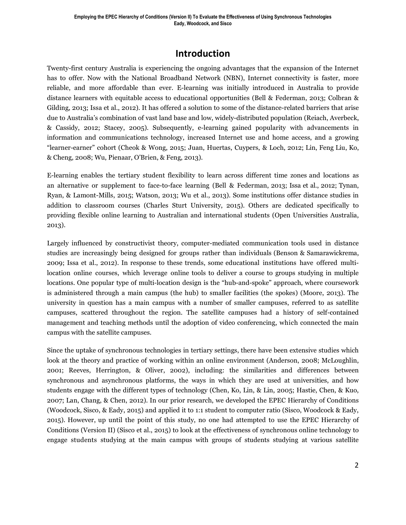# **Introduction**

Twenty-first century Australia is experiencing the ongoing advantages that the expansion of the Internet has to offer. Now with the National Broadband Network (NBN), Internet connectivity is faster, more reliable, and more affordable than ever. E-learning was initially introduced in Australia to provide distance learners with equitable access to educational opportunities (Bell & Federman, 2013; Colbran & Gilding, 2013; Issa et al., 2012). It has offered a solution to some of the distance-related barriers that arise due to Australia's combination of vast land base and low, widely-distributed population (Reiach, Averbeck, & Cassidy, 2012; Stacey, 2005). Subsequently, e-learning gained popularity with advancements in information and communications technology, increased Internet use and home access, and a growing "learner-earner" cohort (Cheok & Wong, 2015; Juan, Huertas, Cuypers, & Loch, 2012; Lin, Feng Liu, Ko, & Cheng, 2008; Wu, Pienaar, O'Brien, & Feng, 2013).

E-learning enables the tertiary student flexibility to learn across different time zones and locations as an alternative or supplement to face-to-face learning (Bell & Federman, 2013; Issa et al., 2012; Tynan, Ryan, & Lamont-Mills, 2015; Watson, 2013; Wu et al., 2013). Some institutions offer distance studies in addition to classroom courses (Charles Sturt University, 2015). Others are dedicated specifically to providing flexible online learning to Australian and international students (Open Universities Australia, 2013).

Largely influenced by constructivist theory, computer-mediated communication tools used in distance studies are increasingly being designed for groups rather than individuals (Benson & Samarawickrema, 2009; Issa et al., 2012). In response to these trends, some educational institutions have offered multilocation online courses, which leverage online tools to deliver a course to groups studying in multiple locations. One popular type of multi-location design is the "hub-and-spoke" approach, where coursework is administered through a main campus (the hub) to smaller facilities (the spokes) (Moore, 2013). The university in question has a main campus with a number of smaller campuses, referred to as satellite campuses, scattered throughout the region. The satellite campuses had a history of self-contained management and teaching methods until the adoption of video conferencing, which connected the main campus with the satellite campuses.

Since the uptake of synchronous technologies in tertiary settings, there have been extensive studies which look at the theory and practice of working within an online environment (Anderson, 2008; McLoughlin, 2001; Reeves, Herrington, & Oliver, 2002), including: the similarities and differences between synchronous and asynchronous platforms, the ways in which they are used at universities, and how students engage with the different types of technology (Chen, Ko, Lin, & Lin, 2005; Hastie, Chen, & Kuo, 2007; Lan, Chang, & Chen, 2012). In our prior research, we developed the EPEC Hierarchy of Conditions (Woodcock, Sisco, & Eady, 2015) and applied it to 1:1 student to computer ratio (Sisco, Woodcock & Eady, 2015). However, up until the point of this study, no one had attempted to use the EPEC Hierarchy of Conditions (Version II) (Sisco et al., 2015) to look at the effectiveness of synchronous online technology to engage students studying at the main campus with groups of students studying at various satellite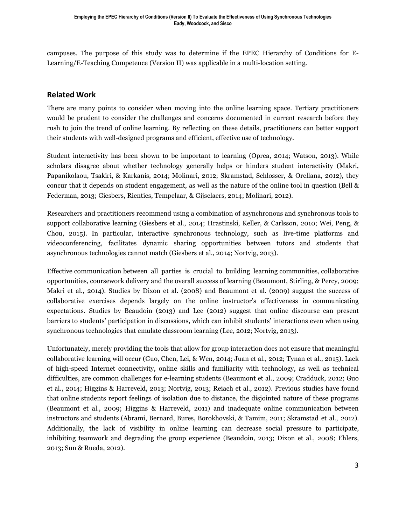campuses. The purpose of this study was to determine if the EPEC Hierarchy of Conditions for E-Learning/E-Teaching Competence (Version II) was applicable in a multi-location setting.

#### **Related Work**

There are many points to consider when moving into the online learning space. Tertiary practitioners would be prudent to consider the challenges and concerns documented in current research before they rush to join the trend of online learning. By reflecting on these details, practitioners can better support their students with well-designed programs and efficient, effective use of technology.

Student interactivity has been shown to be important to learning (Oprea, 2014; Watson, 2013). While scholars disagree about whether technology generally helps or hinders student interactivity (Makri, Papanikolaou, Tsakiri, & Karkanis, 2014; Molinari, 2012; Skramstad, Schlosser, & Orellana, 2012), they concur that it depends on student engagement, as well as the nature of the online tool in question (Bell & Federman, 2013; Giesbers, Rienties, Tempelaar, & Gijselaers, 2014; Molinari, 2012).

Researchers and practitioners recommend using a combination of asynchronous and synchronous tools to support collaborative learning (Giesbers et al., 2014; Hrastinski, Keller, & Carlsson, 2010; Wei, Peng, & Chou, 2015). In particular, interactive synchronous technology, such as live-time platforms and videoconferencing, facilitates dynamic sharing opportunities between tutors and students that asynchronous technologies cannot match (Giesbers et al., 2014; Nortvig, 2013).

Effective communication between all parties is crucial to building learning communities, collaborative opportunities, coursework delivery and the overall success of learning (Beaumont, Stirling, & Percy, 2009; Makri et al., 2014). Studies by Dixon et al. (2008) and Beaumont et al. (2009) suggest the success of collaborative exercises depends largely on the online instructor's effectiveness in communicating expectations. Studies by Beaudoin (2013) and Lee (2012) suggest that online discourse can present barriers to students' participation in discussions, which can inhibit students' interactions even when using synchronous technologies that emulate classroom learning (Lee, 2012; Nortvig, 2013).

Unfortunately, merely providing the tools that allow for group interaction does not ensure that meaningful collaborative learning will occur (Guo, Chen, Lei, & Wen, 2014; Juan et al., 2012; Tynan et al., 2015). Lack of high-speed Internet connectivity, online skills and familiarity with technology, as well as technical difficulties, are common challenges for e-learning students (Beaumont et al., 2009; Cradduck, 2012; Guo et al., 2014; Higgins & Harreveld, 2013; Nortvig, 2013; Reiach et al., 2012). Previous studies have found that online students report feelings of isolation due to distance, the disjointed nature of these programs (Beaumont et al., 2009; Higgins & Harreveld, 2011) and inadequate online communication between instructors and students (Abrami, Bernard, Bures, Borokhovski, & Tamim, 2011; Skramstad et al., 2012). Additionally, the lack of visibility in online learning can decrease social pressure to participate, inhibiting teamwork and degrading the group experience (Beaudoin, 2013; Dixon et al., 2008; Ehlers, 2013; Sun & Rueda, 2012).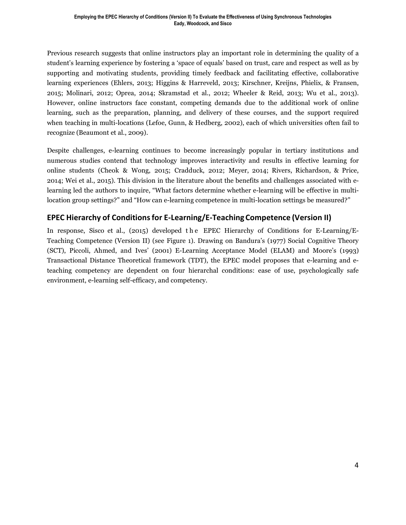Previous research suggests that online instructors play an important role in determining the quality of a student's learning experience by fostering a 'space of equals' based on trust, care and respect as well as by supporting and motivating students, providing timely feedback and facilitating effective, collaborative learning experiences (Ehlers, 2013; Higgins & Harreveld, 2013; Kirschner, Kreijns, Phielix, & Fransen, 2015; Molinari, 2012; Oprea, 2014; Skramstad et al., 2012; Wheeler & Reid, 2013; Wu et al., 2013). However, online instructors face constant, competing demands due to the additional work of online learning, such as the preparation, planning, and delivery of these courses, and the support required when teaching in multi-locations (Lefoe, Gunn, & Hedberg, 2002), each of which universities often fail to recognize (Beaumont et al., 2009).

Despite challenges, e-learning continues to become increasingly popular in tertiary institutions and numerous studies contend that technology improves interactivity and results in effective learning for online students (Cheok & Wong, 2015; Cradduck, 2012; Meyer, 2014; Rivers, Richardson, & Price, 2014; Wei et al., 2015). This division in the literature about the benefits and challenges associated with elearning led the authors to inquire, "What factors determine whether e-learning will be effective in multilocation group settings?" and "How can e-learning competence in multi-location settings be measured?"

#### **EPEC Hierarchy of Conditionsfor E-Learning/E-Teaching Competence (Version II)**

In response, Sisco et al., (2015) developed the EPEC Hierarchy of Conditions for E-Learning/E-Teaching Competence (Version II) (see Figure 1). Drawing on Bandura's (1977) Social Cognitive Theory (SCT), Piccoli, Ahmed, and Ives' (2001) E-Learning Acceptance Model (ELAM) and Moore's (1993) Transactional Distance Theoretical framework (TDT), the EPEC model proposes that e-learning and eteaching competency are dependent on four hierarchal conditions: ease of use, psychologically safe environment, e-learning self-efficacy, and competency.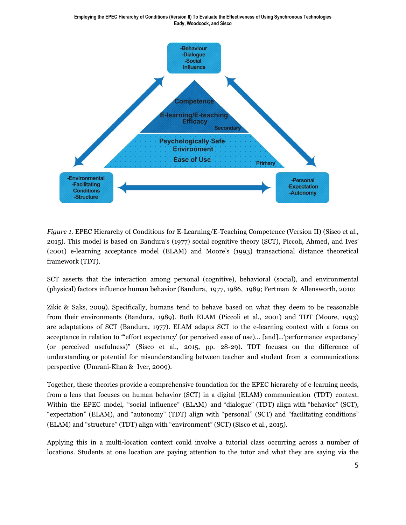**Employing the EPEC Hierarchy of Conditions (Version II) To Evaluate the Effectiveness of Using Synchronous Technologies Eady, Woodcock, and Sisco**



*Figure 1.* EPEC Hierarchy of Conditions for E-Learning/E-Teaching Competence (Version II) (Sisco et al., 2015). This model is based on Bandura's (1977) social cognitive theory (SCT), Piccoli, Ahmed, and Ives' (2001) e-learning acceptance model (ELAM) and Moore's (1993) transactional distance theoretical framework (TDT).

SCT asserts that the interaction among personal (cognitive), behavioral (social), and environmental (physical) factors influence human behavior (Bandura, 1977, 1986, 1989; Fertman & Allensworth, 2010;

Zikic & Saks, 2009). Specifically, humans tend to behave based on what they deem to be reasonable from their environments (Bandura, 1989). Both ELAM (Piccoli et al., 2001) and TDT (Moore, 1993) are adaptations of SCT (Bandura, 1977). ELAM adapts SCT to the e-learning context with a focus on acceptance in relation to "'effort expectancy' (or perceived ease of use)… [and]…'performance expectancy' (or perceived usefulness)" (Sisco et al., 2015, pp. 28-29). TDT focuses on the difference of understanding or potential for misunderstanding between teacher and student from a communications perspective (Umrani-Khan & Iyer, 2009).

Together, these theories provide a comprehensive foundation for the EPEC hierarchy of e-learning needs, from a lens that focuses on human behavior (SCT) in a digital (ELAM) communication (TDT) context. Within the EPEC model, "social influence" (ELAM) and "dialogue" (TDT) align with "behavior" (SCT), "expectation" (ELAM), and "autonomy" (TDT) align with "personal" (SCT) and "facilitating conditions" (ELAM) and "structure" (TDT) align with "environment" (SCT) (Sisco et al., 2015).

Applying this in a multi-location context could involve a tutorial class occurring across a number of locations. Students at one location are paying attention to the tutor and what they are saying via the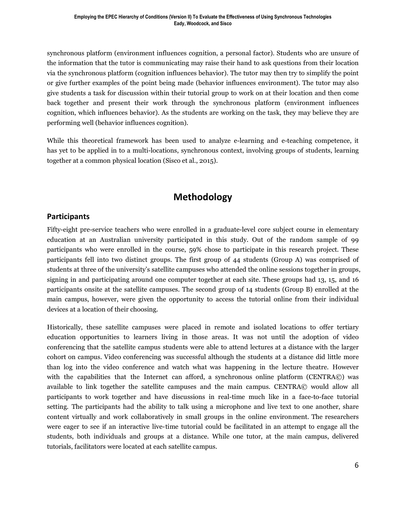synchronous platform (environment influences cognition, a personal factor). Students who are unsure of the information that the tutor is communicating may raise their hand to ask questions from their location via the synchronous platform (cognition influences behavior). The tutor may then try to simplify the point or give further examples of the point being made (behavior influences environment). The tutor may also give students a task for discussion within their tutorial group to work on at their location and then come back together and present their work through the synchronous platform (environment influences cognition, which influences behavior). As the students are working on the task, they may believe they are performing well (behavior influences cognition).

While this theoretical framework has been used to analyze e-learning and e-teaching competence, it has yet to be applied in to a multi-locations, synchronous context, involving groups of students, learning together at a common physical location (Sisco et al., 2015).

# **Methodology**

#### **Participants**

Fifty-eight pre-service teachers who were enrolled in a graduate-level core subject course in elementary education at an Australian university participated in this study. Out of the random sample of 99 participants who were enrolled in the course, 59% chose to participate in this research project. These participants fell into two distinct groups. The first group of 44 students (Group A) was comprised of students at three of the university's satellite campuses who attended the online sessions together in groups, signing in and participating around one computer together at each site. These groups had 13, 15, and 16 participants onsite at the satellite campuses. The second group of 14 students (Group B) enrolled at the main campus, however, were given the opportunity to access the tutorial online from their individual devices at a location of their choosing.

Historically, these satellite campuses were placed in remote and isolated locations to offer tertiary education opportunities to learners living in those areas. It was not until the adoption of video conferencing that the satellite campus students were able to attend lectures at a distance with the larger cohort on campus. Video conferencing was successful although the students at a distance did little more than log into the video conference and watch what was happening in the lecture theatre. However with the capabilities that the Internet can afford, a synchronous online platform (CENTRA©) was available to link together the satellite campuses and the main campus. CENTRA© would allow all participants to work together and have discussions in real-time much like in a face-to-face tutorial setting. The participants had the ability to talk using a microphone and live text to one another, share content virtually and work collaboratively in small groups in the online environment. The researchers were eager to see if an interactive live-time tutorial could be facilitated in an attempt to engage all the students, both individuals and groups at a distance. While one tutor, at the main campus, delivered tutorials, facilitators were located at each satellite campus.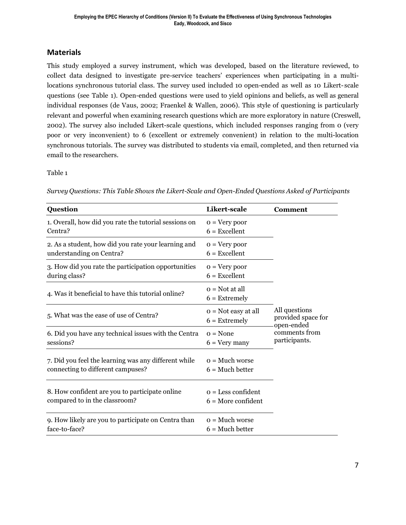#### **Materials**

This study employed a survey instrument, which was developed, based on the literature reviewed, to collect data designed to investigate pre-service teachers' experiences when participating in a multilocations synchronous tutorial class. The survey used included 10 open-ended as well as 10 Likert- scale questions (see Table 1). Open-ended questions were used to yield opinions and beliefs, as well as general individual responses (de Vaus, 2002; Fraenkel & Wallen, 2006). This style of questioning is particularly relevant and powerful when examining research questions which are more exploratory in nature (Creswell, 2002). The survey also included Likert-scale questions, which included responses ranging from 0 (very poor or very inconvenient) to 6 (excellent or extremely convenient) in relation to the multi-location synchronous tutorials. The survey was distributed to students via email, completed, and then returned via email to the researchers.

#### Table 1

*Survey Questions: This Table Shows the Likert-Scale and Open-Ended Questions Asked of Participants*

| Question                                                                                  | Likert-scale                                 | <b>Comment</b>                                                                      |
|-------------------------------------------------------------------------------------------|----------------------------------------------|-------------------------------------------------------------------------------------|
| 1. Overall, how did you rate the tutorial sessions on<br>Centra?                          | $o = Very poor$<br>$6$ = Excellent           | All questions<br>provided space for<br>open-ended<br>comments from<br>participants. |
| 2. As a student, how did you rate your learning and<br>understanding on Centra?           | $o = V$ ery poor<br>$6$ = Excellent          |                                                                                     |
| 3. How did you rate the participation opportunities<br>during class?                      | $o = Very poor$<br>$6$ = Excellent           |                                                                                     |
| 4. Was it beneficial to have this tutorial online?                                        | $o = Not at all$<br>$6$ = Extremely          |                                                                                     |
| 5. What was the ease of use of Centra?                                                    | $o = Not easy at all$<br>$6 =$ Extremely     |                                                                                     |
| 6. Did you have any technical issues with the Centra<br>sessions?                         | $o = None$<br>$6 = \text{Very many}$         |                                                                                     |
| 7. Did you feel the learning was any different while<br>connecting to different campuses? | $o = Much$ worse<br>$6 =$ Much better        |                                                                                     |
| 8. How confident are you to participate online<br>compared to in the classroom?           | $o =$ Less confident<br>$6 =$ More confident |                                                                                     |
| 9. How likely are you to participate on Centra than<br>face-to-face?                      | $o = Much$ worse<br>$6 = Much better$        |                                                                                     |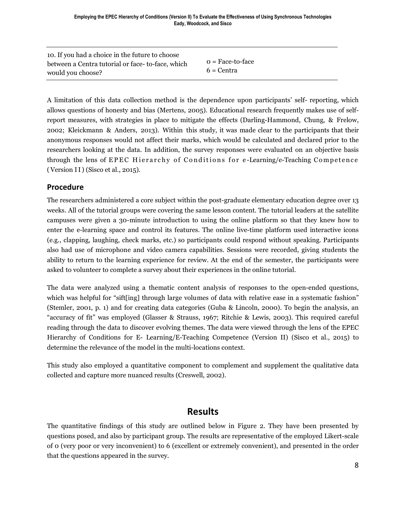| 10. If you had a choice in the future to choose  |                  |
|--------------------------------------------------|------------------|
| between a Centra tutorial or face-to-face, which | o = Face-to-face |
| would you choose?                                | $6 =$ Centra     |

A limitation of this data collection method is the dependence upon participants' self- reporting, which allows questions of honesty and bias (Mertens, 2005). Educational research frequently makes use of selfreport measures, with strategies in place to mitigate the effects (Darling-Hammond, Chung, & Frelow, 2002; Kleickmann & Anders, 2013). Within this study, it was made clear to the participants that their anonymous responses would not affect their marks, which would be calculated and declared prior to the researchers looking at the data. In addition, the survey responses were evaluated on an objective basis through the lens of EPEC Hierarchy of Conditions for e-Learning/e-Teaching Competence  $(Version II)$  (Sisco et al., 2015).

#### **Procedure**

The researchers administered a core subject within the post-graduate elementary education degree over 13 weeks. All of the tutorial groups were covering the same lesson content. The tutorial leaders at the satellite campuses were given a 30-minute introduction to using the online platform so that they knew how to enter the e-learning space and control its features. The online live-time platform used interactive icons (e.g., clapping, laughing, check marks, etc.) so participants could respond without speaking. Participants also had use of microphone and video camera capabilities. Sessions were recorded, giving students the ability to return to the learning experience for review. At the end of the semester, the participants were asked to volunteer to complete a survey about their experiences in the online tutorial.

The data were analyzed using a thematic content analysis of responses to the open-ended questions, which was helpful for "sift[ing] through large volumes of data with relative ease in a systematic fashion" (Stemler, 2001, p. 1) and for creating data categories (Guba & Lincoln, 2000). To begin the analysis, an "accuracy of fit" was employed (Glasser & Strauss, 1967; Ritchie & Lewis, 2003). This required careful reading through the data to discover evolving themes. The data were viewed through the lens of the EPEC Hierarchy of Conditions for E- Learning/E-Teaching Competence (Version II) (Sisco et al., 2015) to determine the relevance of the model in the multi-locations context.

This study also employed a quantitative component to complement and supplement the qualitative data collected and capture more nuanced results (Creswell, 2002).

# **Results**

The quantitative findings of this study are outlined below in Figure 2. They have been presented by questions posed, and also by participant group. The results are representative of the employed Likert-scale of 0 (very poor or very inconvenient) to 6 (excellent or extremely convenient), and presented in the order that the questions appeared in the survey.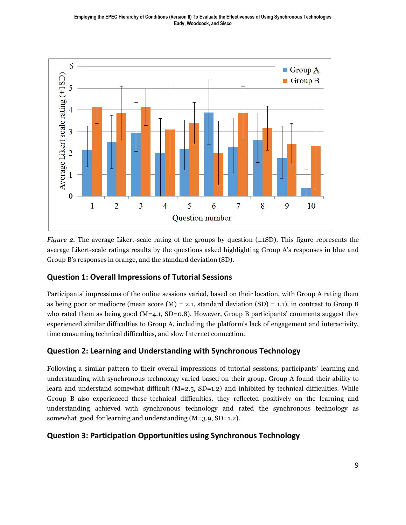

*Figure* 2. The average Likert-scale rating of the groups by question ( $\pm$ 1SD). This figure represents the average Likert-scale ratings results by the questions asked highlighting Group A's responses in blue and Group B's responses in orange, and the standard deviation (SD).

#### **Question 1: Overall Impressions of Tutorial Sessions**

Participants' impressions of the online sessions varied, based on their location, with Group A rating them as being poor or mediocre (mean score  $(M) = 2.1$ , standard deviation  $(SD) = 1.1$ ), in contrast to Group B who rated them as being good  $(M=4.1, SD=0.8)$ . However, Group B participants' comments suggest they experienced similar difficulties to Group A, including the platform's lack of engagement and interactivity, time consuming technical difficulties, and slow Internet connection.

#### **Question 2: Learning and Understanding with Synchronous Technology**

Following a similar pattern to their overall impressions of tutorial sessions, participants' learning and understanding with synchronous technology varied based on their group. Group A found their ability to learn and understand somewhat difficult (M=2.5, SD=1.2) and inhibited by technical difficulties. While Group B also experienced these technical difficulties, they reflected positively on the learning and understanding achieved with synchronous technology and rated the synchronous technology as somewhat good for learning and understanding (M=3.9, SD=1.2).

#### **Question 3: Participation Opportunities using Synchronous Technology**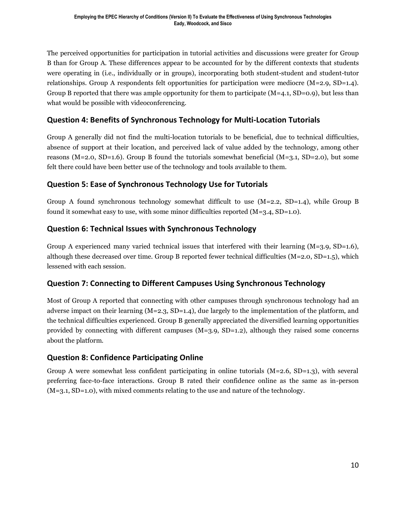The perceived opportunities for participation in tutorial activities and discussions were greater for Group B than for Group A. These differences appear to be accounted for by the different contexts that students were operating in (i.e., individually or in groups), incorporating both student-student and student-tutor relationships. Group A respondents felt opportunities for participation were mediocre (M=2.9, SD=1.4). Group B reported that there was ample opportunity for them to participate  $(M=4.1, SD=0.9)$ , but less than what would be possible with videoconferencing.

# **Question 4: Benefits of Synchronous Technology for Multi-Location Tutorials**

Group A generally did not find the multi-location tutorials to be beneficial, due to technical difficulties, absence of support at their location, and perceived lack of value added by the technology, among other reasons (M=2.0, SD=1.6). Group B found the tutorials somewhat beneficial (M=3.1, SD=2.0), but some felt there could have been better use of the technology and tools available to them.

# **Question 5: Ease of Synchronous Technology Use for Tutorials**

Group A found synchronous technology somewhat difficult to use (M=2.2, SD=1.4), while Group B found it somewhat easy to use, with some minor difficulties reported (M=3.4, SD=1.0).

# **Question 6: Technical Issues with Synchronous Technology**

Group A experienced many varied technical issues that interfered with their learning  $(M=3.9, SD=1.6)$ , although these decreased over time. Group B reported fewer technical difficulties (M=2.0, SD=1.5), which lessened with each session.

#### **Question 7: Connecting to Different Campuses Using Synchronous Technology**

Most of Group A reported that connecting with other campuses through synchronous technology had an adverse impact on their learning (M=2.3, SD=1.4), due largely to the implementation of the platform, and the technical difficulties experienced. Group B generally appreciated the diversified learning opportunities provided by connecting with different campuses (M=3.9, SD=1.2), although they raised some concerns about the platform.

#### **Question 8: Confidence Participating Online**

Group A were somewhat less confident participating in online tutorials  $(M=2.6, SD=1.3)$ , with several preferring face-to-face interactions. Group B rated their confidence online as the same as in-person (M=3.1, SD=1.0), with mixed comments relating to the use and nature of the technology.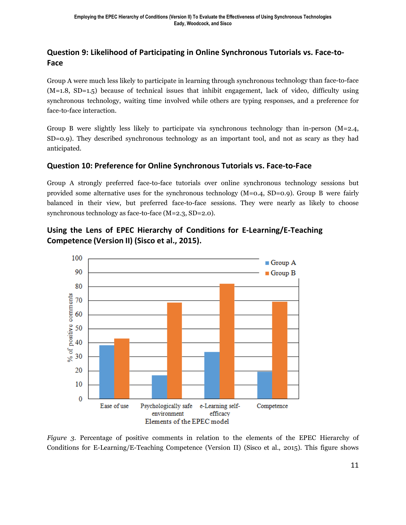# **Question 9: Likelihood of Participating in Online Synchronous Tutorials vs. Face-to-Face**

Group A were much less likely to participate in learning through synchronous technology than face-to-face (M=1.8, SD=1.5) because of technical issues that inhibit engagement, lack of video, difficulty using synchronous technology, waiting time involved while others are typing responses, and a preference for face-to-face interaction.

Group B were slightly less likely to participate via synchronous technology than in-person  $(M=2.4,$ SD=0.9). They described synchronous technology as an important tool, and not as scary as they had anticipated.

#### **Question 10: Preference for Online Synchronous Tutorials vs. Face-to-Face**

Group A strongly preferred face-to-face tutorials over online synchronous technology sessions but provided some alternative uses for the synchronous technology (M=0.4, SD=0.9). Group B were fairly balanced in their view, but preferred face-to-face sessions. They were nearly as likely to choose synchronous technology as face-to-face (M=2.3, SD=2.0).

## **Using the Lens of EPEC Hierarchy of Conditions for E-Learning/E-Teaching Competence (Version II) (Sisco et al., 2015).**



*Figure 3.* Percentage of positive comments in relation to the elements of the EPEC Hierarchy of Conditions for E-Learning/E-Teaching Competence (Version II) (Sisco et al., 2015). This figure shows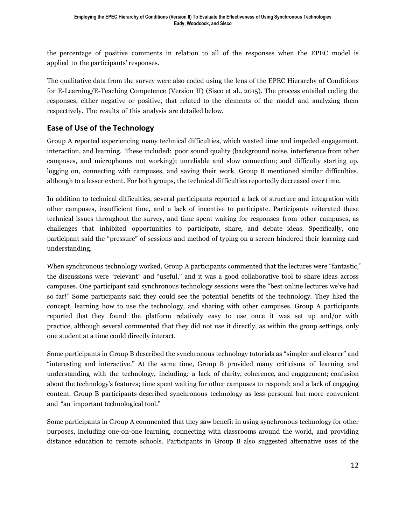the percentage of positive comments in relation to all of the responses when the EPEC model is applied to the participants' responses.

The qualitative data from the survey were also coded using the lens of the EPEC Hierarchy of Conditions for E-Learning/E-Teaching Competence (Version II) (Sisco et al., 2015). The process entailed coding the responses, either negative or positive, that related to the elements of the model and analyzing them respectively. The results of this analysis are detailed below.

# **Ease of Use of the Technology**

Group A reported experiencing many technical difficulties, which wasted time and impeded engagement, interaction, and learning. These included: poor sound quality (background noise, interference from other campuses, and microphones not working); unreliable and slow connection; and difficulty starting up, logging on, connecting with campuses, and saving their work. Group B mentioned similar difficulties, although to a lesser extent. For both groups, the technical difficulties reportedly decreased over time.

In addition to technical difficulties, several participants reported a lack of structure and integration with other campuses, insufficient time, and a lack of incentive to participate. Participants reiterated these technical issues throughout the survey, and time spent waiting for responses from other campuses, as challenges that inhibited opportunities to participate, share, and debate ideas. Specifically, one participant said the "pressure" of sessions and method of typing on a screen hindered their learning and understanding.

When synchronous technology worked, Group A participants commented that the lectures were "fantastic," the discussions were "relevant" and "useful," and it was a good collaborative tool to share ideas across campuses. One participant said synchronous technology sessions were the "best online lectures we've had so far!" Some participants said they could see the potential benefits of the technology. They liked the concept, learning how to use the technology, and sharing with other campuses. Group A participants reported that they found the platform relatively easy to use once it was set up and/or with practice, although several commented that they did not use it directly, as within the group settings, only one student at a time could directly interact.

Some participants in Group B described the synchronous technology tutorials as "simpler and clearer" and "interesting and interactive." At the same time, Group B provided many criticisms of learning and understanding with the technology, including: a lack of clarity, coherence, and engagement; confusion about the technology's features; time spent waiting for other campuses to respond; and a lack of engaging content. Group B participants described synchronous technology as less personal but more convenient and "an important technological tool."

Some participants in Group A commented that they saw benefit in using synchronous technology for other purposes, including one-on-one learning, connecting with classrooms around the world, and providing distance education to remote schools. Participants in Group B also suggested alternative uses of the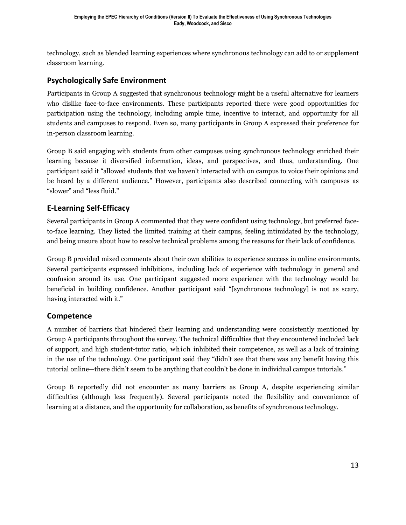technology, such as blended learning experiences where synchronous technology can add to or supplement classroom learning.

#### **Psychologically Safe Environment**

Participants in Group A suggested that synchronous technology might be a useful alternative for learners who dislike face-to-face environments. These participants reported there were good opportunities for participation using the technology, including ample time, incentive to interact, and opportunity for all students and campuses to respond. Even so, many participants in Group A expressed their preference for in-person classroom learning.

Group B said engaging with students from other campuses using synchronous technology enriched their learning because it diversified information, ideas, and perspectives, and thus, understanding. One participant said it "allowed students that we haven't interacted with on campus to voice their opinions and be heard by a different audience." However, participants also described connecting with campuses as "slower" and "less fluid."

#### **E-Learning Self-Efficacy**

Several participants in Group A commented that they were confident using technology, but preferred faceto-face learning. They listed the limited training at their campus, feeling intimidated by the technology, and being unsure about how to resolve technical problems among the reasons for their lack of confidence.

Group B provided mixed comments about their own abilities to experience success in online environments. Several participants expressed inhibitions, including lack of experience with technology in general and confusion around its use. One participant suggested more experience with the technology would be beneficial in building confidence. Another participant said "[synchronous technology] is not as scary, having interacted with it."

#### **Competence**

A number of barriers that hindered their learning and understanding were consistently mentioned by Group A participants throughout the survey. The technical difficulties that they encountered included lack of support, and high student-tutor ratio, which inhibited their competence, as well as a lack of training in the use of the technology. One participant said they "didn't see that there was any benefit having this tutorial online—there didn't seem to be anything that couldn't be done in individual campus tutorials."

Group B reportedly did not encounter as many barriers as Group A, despite experiencing similar difficulties (although less frequently). Several participants noted the flexibility and convenience of learning at a distance, and the opportunity for collaboration, as benefits of synchronous technology.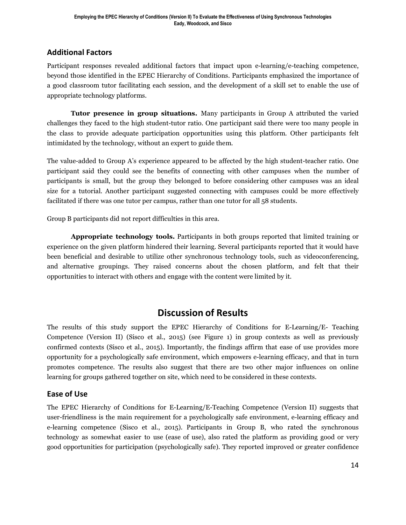#### **Additional Factors**

Participant responses revealed additional factors that impact upon e-learning/e-teaching competence, beyond those identified in the EPEC Hierarchy of Conditions. Participants emphasized the importance of a good classroom tutor facilitating each session, and the development of a skill set to enable the use of appropriate technology platforms.

**Tutor presence in group situations.** Many participants in Group A attributed the varied challenges they faced to the high student-tutor ratio. One participant said there were too many people in the class to provide adequate participation opportunities using this platform. Other participants felt intimidated by the technology, without an expert to guide them.

The value-added to Group A's experience appeared to be affected by the high student-teacher ratio. One participant said they could see the benefits of connecting with other campuses when the number of participants is small, but the group they belonged to before considering other campuses was an ideal size for a tutorial. Another participant suggested connecting with campuses could be more effectively facilitated if there was one tutor per campus, rather than one tutor for all 58 students.

Group B participants did not report difficulties in this area.

**Appropriate technology tools.** Participants in both groups reported that limited training or experience on the given platform hindered their learning. Several participants reported that it would have been beneficial and desirable to utilize other synchronous technology tools, such as videoconferencing, and alternative groupings. They raised concerns about the chosen platform, and felt that their opportunities to interact with others and engage with the content were limited by it.

# **Discussion of Results**

The results of this study support the EPEC Hierarchy of Conditions for E-Learning/E- Teaching Competence (Version II) (Sisco et al., 2015) (see Figure 1) in group contexts as well as previously confirmed contexts (Sisco et al., 2015). Importantly, the findings affirm that ease of use provides more opportunity for a psychologically safe environment, which empowers e-learning efficacy, and that in turn promotes competence. The results also suggest that there are two other major influences on online learning for groups gathered together on site, which need to be considered in these contexts.

#### **Ease of Use**

The EPEC Hierarchy of Conditions for E-Learning/E-Teaching Competence (Version II) suggests that user-friendliness is the main requirement for a psychologically safe environment, e-learning efficacy and e-learning competence (Sisco et al., 2015). Participants in Group B, who rated the synchronous technology as somewhat easier to use (ease of use), also rated the platform as providing good or very good opportunities for participation (psychologically safe). They reported improved or greater confidence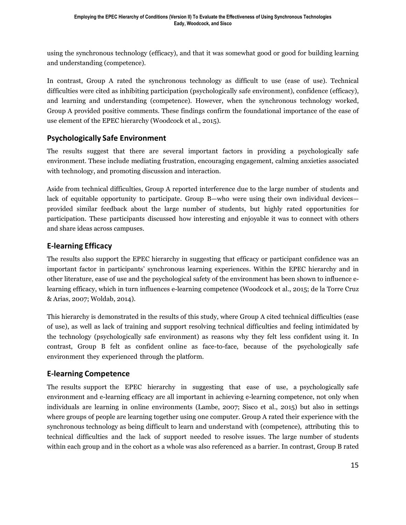using the synchronous technology (efficacy), and that it was somewhat good or good for building learning and understanding (competence).

In contrast, Group A rated the synchronous technology as difficult to use (ease of use). Technical difficulties were cited as inhibiting participation (psychologically safe environment), confidence (efficacy), and learning and understanding (competence). However, when the synchronous technology worked, Group A provided positive comments. These findings confirm the foundational importance of the ease of use element of the EPEC hierarchy (Woodcock et al., 2015).

# **Psychologically Safe Environment**

The results suggest that there are several important factors in providing a psychologically safe environment. These include mediating frustration, encouraging engagement, calming anxieties associated with technology, and promoting discussion and interaction.

Aside from technical difficulties, Group A reported interference due to the large number of students and lack of equitable opportunity to participate. Group B—who were using their own individual devices provided similar feedback about the large number of students, but highly rated opportunities for participation. These participants discussed how interesting and enjoyable it was to connect with others and share ideas across campuses.

# **E-learning Efficacy**

The results also support the EPEC hierarchy in suggesting that efficacy or participant confidence was an important factor in participants' synchronous learning experiences. Within the EPEC hierarchy and in other literature, ease of use and the psychological safety of the environment has been shown to influence elearning efficacy, which in turn influences e-learning competence (Woodcock et al., 2015; de la Torre Cruz & Arias, 2007; Woldab, 2014).

This hierarchy is demonstrated in the results of this study, where Group A cited technical difficulties (ease of use), as well as lack of training and support resolving technical difficulties and feeling intimidated by the technology (psychologically safe environment) as reasons why they felt less confident using it. In contrast, Group B felt as confident online as face-to-face, because of the psychologically safe environment they experienced through the platform.

# **E-learning Competence**

The results support the EPEC hierarchy in suggesting that ease of use, a psychologically safe environment and e-learning efficacy are all important in achieving e-learning competence, not only when individuals are learning in online environments (Lambe, 2007; Sisco et al., 2015) but also in settings where groups of people are learning together using one computer. Group A rated their experience with the synchronous technology as being difficult to learn and understand with (competence), attributing this to technical difficulties and the lack of support needed to resolve issues. The large number of students within each group and in the cohort as a whole was also referenced as a barrier. In contrast, Group B rated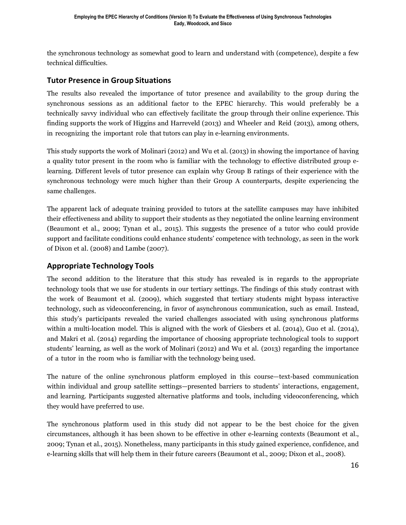the synchronous technology as somewhat good to learn and understand with (competence), despite a few technical difficulties.

#### **Tutor Presence in Group Situations**

The results also revealed the importance of tutor presence and availability to the group during the synchronous sessions as an additional factor to the EPEC hierarchy. This would preferably be a technically savvy individual who can effectively facilitate the group through their online experience. This finding supports the work of Higgins and Harreveld (2013) and Wheeler and Reid (2013), among others, in recognizing the important role that tutors can play in e-learning environments.

This study supports the work of Molinari (2012) and Wu et al. (2013) in showing the importance of having a quality tutor present in the room who is familiar with the technology to effective distributed group elearning. Different levels of tutor presence can explain why Group B ratings of their experience with the synchronous technology were much higher than their Group A counterparts, despite experiencing the same challenges.

The apparent lack of adequate training provided to tutors at the satellite campuses may have inhibited their effectiveness and ability to support their students as they negotiated the online learning environment (Beaumont et al., 2009; Tynan et al., 2015). This suggests the presence of a tutor who could provide support and facilitate conditions could enhance students' competence with technology, as seen in the work of Dixon et al. (2008) and Lambe (2007).

#### **Appropriate Technology Tools**

The second addition to the literature that this study has revealed is in regards to the appropriate technology tools that we use for students in our tertiary settings. The findings of this study contrast with the work of Beaumont et al. (2009), which suggested that tertiary students might bypass interactive technology, such as videoconferencing, in favor of asynchronous communication, such as email. Instead, this study's participants revealed the varied challenges associated with using synchronous platforms within a multi-location model. This is aligned with the work of Giesbers et al. (2014), Guo et al. (2014), and Makri et al. (2014) regarding the importance of choosing appropriate technological tools to support students' learning, as well as the work of Molinari (2012) and Wu et al. (2013) regarding the importance of a tutor in the room who is familiar with the technology being used.

The nature of the online synchronous platform employed in this course—text-based communication within individual and group satellite settings—presented barriers to students' interactions, engagement, and learning. Participants suggested alternative platforms and tools, including videoconferencing, which they would have preferred to use.

The synchronous platform used in this study did not appear to be the best choice for the given circumstances, although it has been shown to be effective in other e-learning contexts (Beaumont et al., 2009; Tynan et al., 2015). Nonetheless, many participants in this study gained experience, confidence, and e-learning skills that will help them in their future careers (Beaumont et al., 2009; Dixon et al., 2008).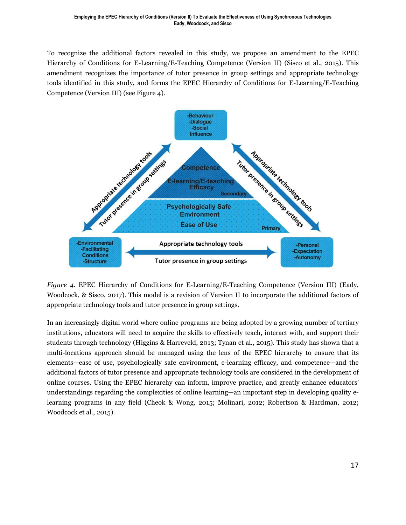To recognize the additional factors revealed in this study, we propose an amendment to the EPEC Hierarchy of Conditions for E-Learning/E-Teaching Competence (Version II) (Sisco et al., 2015). This amendment recognizes the importance of tutor presence in group settings and appropriate technology tools identified in this study, and forms the EPEC Hierarchy of Conditions for E-Learning/E-Teaching Competence (Version III) (see Figure 4).



*Figure 4.* EPEC Hierarchy of Conditions for E-Learning/E-Teaching Competence (Version III) (Eady, Woodcock, & Sisco, 2017). This model is a revision of Version II to incorporate the additional factors of appropriate technology tools and tutor presence in group settings.

In an increasingly digital world where online programs are being adopted by a growing number of tertiary institutions, educators will need to acquire the skills to effectively teach, interact with, and support their students through technology (Higgins & Harreveld, 2013; Tynan et al., 2015). This study has shown that a multi-locations approach should be managed using the lens of the EPEC hierarchy to ensure that its elements—ease of use, psychologically safe environment, e-learning efficacy, and competence—and the additional factors of tutor presence and appropriate technology tools are considered in the development of online courses. Using the EPEC hierarchy can inform, improve practice, and greatly enhance educators' understandings regarding the complexities of online learning—an important step in developing quality elearning programs in any field (Cheok & Wong, 2015; Molinari, 2012; Robertson & Hardman, 2012; Woodcock et al., 2015).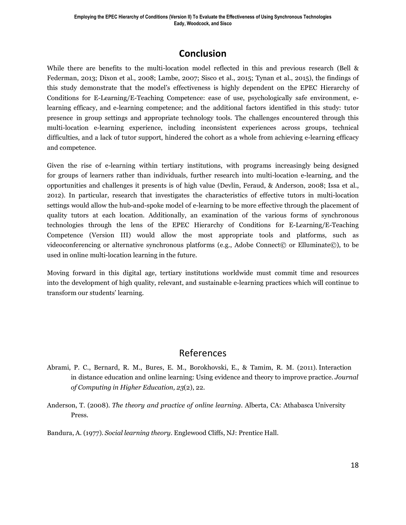# **Conclusion**

While there are benefits to the multi-location model reflected in this and previous research (Bell & Federman, 2013; Dixon et al., 2008; Lambe, 2007; Sisco et al., 2015; Tynan et al., 2015), the findings of this study demonstrate that the model's effectiveness is highly dependent on the EPEC Hierarchy of Conditions for E-Learning/E-Teaching Competence: ease of use, psychologically safe environment, elearning efficacy, and e-learning competence; and the additional factors identified in this study: tutor presence in group settings and appropriate technology tools. The challenges encountered through this multi-location e-learning experience, including inconsistent experiences across groups, technical difficulties, and a lack of tutor support, hindered the cohort as a whole from achieving e-learning efficacy and competence.

Given the rise of e-learning within tertiary institutions, with programs increasingly being designed for groups of learners rather than individuals, further research into multi-location e-learning, and the opportunities and challenges it presents is of high value (Devlin, Feraud, & Anderson, 2008; Issa et al., 2012). In particular, research that investigates the characteristics of effective tutors in multi-location settings would allow the hub-and-spoke model of e-learning to be more effective through the placement of quality tutors at each location. Additionally, an examination of the various forms of synchronous technologies through the lens of the EPEC Hierarchy of Conditions for E-Learning/E-Teaching Competence (Version III) would allow the most appropriate tools and platforms, such as videoconferencing or alternative synchronous platforms (e.g., Adobe Connect© or Elluminate©), to be used in online multi-location learning in the future.

Moving forward in this digital age, tertiary institutions worldwide must commit time and resources into the development of high quality, relevant, and sustainable e-learning practices which will continue to transform our students' learning.

# References

- Abrami, P. C., Bernard, R. M., Bures, E. M., Borokhovski, E., & Tamim, R. M. (2011). Interaction in distance education and online learning: Using evidence and theory to improve practice. *Journal of Computing in Higher Education, 23*(2), 22.
- Anderson, T. (2008). *The theory and practice of online learning*. Alberta, CA: Athabasca University Press.

Bandura, A. (1977). *Social learning theory*. Englewood Cliffs, NJ: Prentice Hall.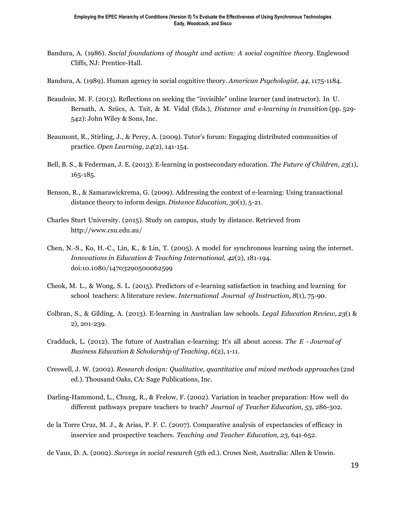- Bandura, A. (1986). *Social foundations of thought and action: A social cognitive theory*. Englewood Cliffs, NJ: Prentice-Hall.
- Bandura, A. (1989). Human agency in social cognitive theory. *American Psychologist, 44*, 1175-1184.
- Beaudoin, M. F. (2013). Reflections on seeking the "invisible" online learner (and instructor). In U. Bernath, A. Szücs, A. Tait, & M. Vidal (Eds.), *Distance and e-learning in transition* (pp. 529- 542): John Wiley & Sons, Inc.
- Beaumont, R., Stirling, J., & Percy, A. (2009). Tutor's forum: Engaging distributed communities of practice. *Open Learning, 24*(2), 141-154.
- Bell, B. S., & Federman, J. E. (2013). E-learning in postsecondary education. *The Future of Children, 23*(1), 165-185.
- Benson, R., & Samarawickrema, G. (2009). Addressing the context of e-learning: Using transactional distance theory to inform design. *Distance Education, 30*(1), 5-21.
- Charles Sturt University. (2015). Study on campus, study by distance. Retrieved from <http://www.csu.edu.au/>
- Chen, N.-S., Ko, H.-C., Lin, K., & Lin, T. (2005). A model for synchronous learning using the internet. *Innovations in Education & Teaching International, 42*(2), 181-194. doi:10.1080/14703290500062599
- Cheok, M. L., & Wong, S. L. (2015). Predictors of e-learning satisfaction in teaching and learning for school teachers: A literature review. *International Journal of Instruction, 8*(1), 75-90.
- Colbran, S., & Gilding, A. (2013). E-learning in Australian law schools. *Legal Education Review, 23*(1 & 2), 201-239.
- Cradduck, L. (2012). The future of Australian e-learning: It's all about access. *The E - Journal of Business Education & Scholarship of Teaching, 6*(2), 1-11.
- Creswell, J. W. (2002). *Research design: Qualitative, quantitative and mixed methods approaches* (2nd ed.). Thousand Oaks, CA: Sage Publications, Inc.
- Darling-Hammond, L., Chung, R., & Frelow, F. (2002). Variation in teacher preparation: How well do different pathways prepare teachers to teach? *Journal of Teacher Education, 53*, 286-302.
- de la Torre Cruz, M. J., & Arias, P. F. C. (2007). Comparative analysis of expectancies of efficacy in inservice and prospective teachers. *Teaching and Teacher Education, 23*, 641-652.

de Vaus, D. A. (2002). *Surveys in social research* (5th ed.). Crows Nest, Australia: Allen & Unwin.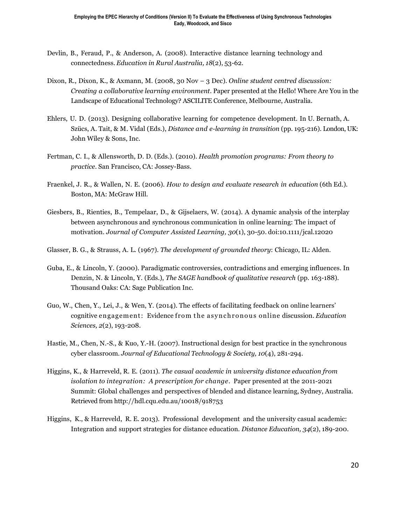- Devlin, B., Feraud, P., & Anderson, A. (2008). Interactive distance learning technology and connectedness. *Education in Rural Australia, 18*(2), 53-62.
- Dixon, R., Dixon, K., & Axmann, M. (2008, 30 Nov 3 Dec). *Online student centred discussion: Creating a collaborative learning environment*. Paper presented at the Hello! Where Are You in the Landscape of Educational Technology? ASCILITE Conference, Melbourne, Australia.
- Ehlers, U. D. (2013). Designing collaborative learning for competence development. In U. Bernath, A. Szücs, A. Tait, & M. Vidal (Eds.), *Distance and e-learning in transition* (pp. 195-216). London, UK: John Wiley & Sons, Inc.
- Fertman, C. I., & Allensworth, D. D. (Eds.). (2010). *Health promotion programs: From theory to practice*. San Francisco, CA: Jossey-Bass.
- Fraenkel, J. R., & Wallen, N. E. (2006). *How to design and evaluate research in education* (6th Ed.). Boston, MA: McGraw Hill.
- Giesbers, B., Rienties, B., Tempelaar, D., & Gijselaers, W. (2014). A dynamic analysis of the interplay between asynchronous and synchronous communication in online learning: The impact of motivation. *Journal of Computer Assisted Learning, 30*(1), 30-50. doi:10.1111/jcal.12020
- Glasser, B. G., & Strauss, A. L. (1967). *The development of grounded theory*: Chicago, IL: Alden.
- Guba, E., & Lincoln, Y. (2000). Paradigmatic controversies, contradictions and emerging influences. In Denzin, N. & Lincoln, Y. (Eds.), *The SAGE handbook of qualitative research* (pp. 163-188). Thousand Oaks: CA: Sage Publication Inc.
- Guo, W., Chen, Y., Lei, J., & Wen, Y. (2014). The effects of facilitating feedback on online learners' cognitive engagement: Evidence from the asynchronous online discussion. *Education Sciences, 2*(2), 193-208.
- Hastie, M., Chen, N.-S., & Kuo, Y.-H. (2007). Instructional design for best practice in the synchronous cyber classroom. *Journal of Educational Technology & Society, 10*(4), 281-294.
- Higgins, K., & Harreveld, R. E. (2011). *The casual academic in university distance education from isolation to integration: A prescription for change*. Paper presented at the 2011-2021 Summit: Global challenges and perspectives of blended and distance learning, Sydney, Australia. Retrieved fro[m http://hdl.cqu.edu.au/10018/918753](http://hdl.cqu.edu.au/10018/918753)
- Higgins, K., & Harreveld, R. E. 2013). Professional development and the university casual academic: Integration and support strategies for distance education. *Distance Education, 34*(2), 189-200.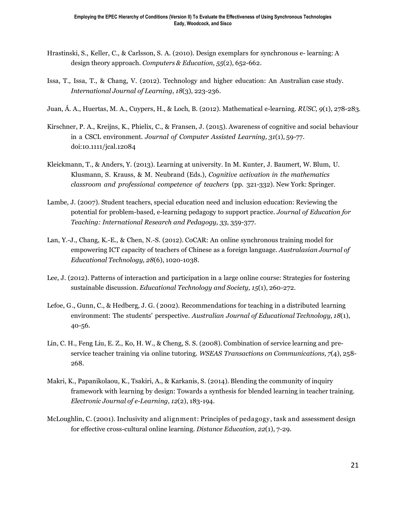- Hrastinski, S., Keller, C., & Carlsson, S. A. (2010). Design exemplars for synchronous e- learning: A design theory approach. *Computers & Education, 55*(2), 652-662.
- Issa, T., Issa, T., & Chang, V. (2012). Technology and higher education: An Australian case study. *International Journal of Learning, 18*(3), 223-236.
- Juan, Á. A., Huertas, M. A., Cuypers, H., & Loch, B. (2012). Mathematical e-learning. *RUSC, 9*(1), 278-283.
- Kirschner, P. A., Kreijns, K., Phielix, C., & Fransen, J. (2015). Awareness of cognitive and social behaviour in a CSCL environment. *Journal of Computer Assisted Learning, 31*(1), 59-77. doi:10.1111/jcal.12084
- Kleickmann, T., & Anders, Y. (2013). Learning at university. In M. Kunter, J. Baumert, W. Blum, U. Klusmann, S. Krauss, & M. Neubrand (Eds.), *Cognitive activation in the mathematics classroom and professional competence of teachers* (pp. 321-332). New York: Springer.
- Lambe, J. (2007). Student teachers, special education need and inclusion education: Reviewing the potential for problem-based, e-learning pedagogy to support practice. *Journal of Education for Teaching: International Research and Pedagogy, 33*, 359-377.
- Lan, Y.-J., Chang, K.-E., & Chen, N.-S. (2012). CoCAR: An online synchronous training model for empowering ICT capacity of teachers of Chinese as a foreign language. *Australasian Journal of Educational Technology, 28*(6), 1020-1038.
- Lee, J. (2012). Patterns of interaction and participation in a large online course: Strategies for fostering sustainable discussion. *Educational Technology and Society, 15*(1), 260-272.
- Lefoe, G., Gunn, C., & Hedberg, J. G. (2002). Recommendations for teaching in a distributed learning environment: The students' perspective. *Australian Journal of Educational Technology, 18*(1), 40-56.
- Lin, C. H., Feng Liu, E. Z., Ko, H. W., & Cheng, S. S. (2008). Combination of service learning and preservice teacher training via online tutoring. *WSEAS Transactions on Communications, 7*(4), 258- 268.
- Makri, K., Papanikolaou, K., Tsakiri, A., & Karkanis, S. (2014). Blending the community of inquiry framework with learning by design: Towards a synthesis for blended learning in teacher training. *Electronic Journal of e-Learning, 12*(2), 183-194.
- McLoughlin, C. (2001). Inclusivity and alignment: Principles of pedagogy, task and assessment design for effective cross-cultural online learning. *Distance Education, 22*(1), 7-29.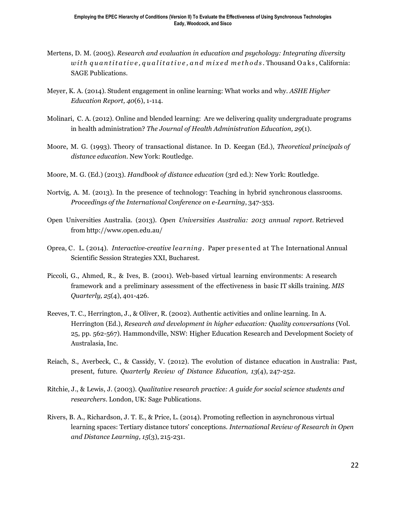- Mertens, D. M. (2005). *Research and evaluation in education and psychology: Integrating diversity w i t h q u a n t i t a t i v e , q u a l i t a t i v e , a n d m i x e d m e t h o d s* . Thousand O a k s , California: SAGE Publications.
- Meyer, K. A. (2014). Student engagement in online learning: What works and why. *ASHE Higher Education Report, 40*(6), 1-114.
- Molinari, C. A. (2012). Online and blended learning: Are we delivering quality undergraduate programs in health administration? *The Journal of Health Administration Education, 29*(1).
- Moore, M. G. (1993). Theory of transactional distance. In D. Keegan (Ed.), *Theoretical principals of distance education*. New York: Routledge.
- Moore, M. G. (Ed.) (2013). *Handbook of distance education* (3rd ed.): New York: Routledge.
- Nortvig, A. M. (2013). In the presence of technology: Teaching in hybrid synchronous classrooms. *Proceedings of the International Conference on e-Learning*, 347-353.
- Open Universities Australia. (2013). *Open Universities Australia: 2013 annual report*. Retrieved from <http://www.open.edu.au/>
- Oprea, C. L. (2014). *Interactive-creative learning*. Paper presented at The International Annual Scientific Session Strategies XXI, Bucharest.
- Piccoli, G., Ahmed, R., & Ives, B. (2001). Web-based virtual learning environments: A research framework and a preliminary assessment of the effectiveness in basic IT skills training. *MIS Quarterly, 25*(4), 401-426.
- Reeves, T. C., Herrington, J., & Oliver, R. (2002). Authentic activities and online learning. In A. Herrington (Ed.), *Research and development in higher education: Quality conversations* (Vol. 25, pp. 562-567). Hammondville, NSW: Higher Education Research and Development Society of Australasia, Inc.
- Reiach, S., Averbeck, C., & Cassidy, V. (2012). The evolution of distance education in Australia: Past, present, future. *Quarterly Review of Distance Education, 13*(4), 247-252.
- Ritchie, J., & Lewis, J. (2003). *Qualitative research practice: A guide for social science students and researchers*. London, UK: Sage Publications.
- Rivers, B. A., Richardson, J. T. E., & Price, L. (2014). Promoting reflection in asynchronous virtual learning spaces: Tertiary distance tutors' conceptions. *International Review of Research in Open and Distance Learning, 15*(3), 215-231.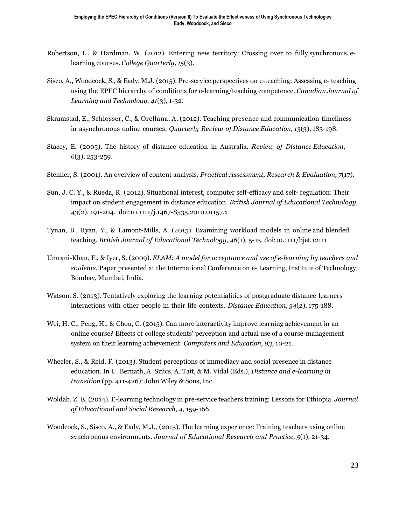- Robertson, L., & Hardman, W. (2012). Entering new territory: Crossing over to fully synchronous, elearning courses. *College Quarterly, 15*(3).
- Sisco, A., Woodcock, S., & Eady, M.J. (2015). Pre-service perspectives on e-teaching: Assessing e- teaching using the EPEC hierarchy of conditions for e-learning/teaching competence. *Canadian Journal of Learning and Technology, 41*(3), 1-32.
- Skramstad, E., Schlosser, C., & Orellana, A. (2012). Teaching presence and communication timeliness in asynchronous online courses. *Quarterly Review of Distance Education, 13*(3), 183-198.
- Stacey, E. (2005). The history of distance education in Australia. *Review of Distance Education, 6*(3), 253-259.
- Stemler, S. (2001). An overview of content analysis. *Practical Assessment, Research & Evaluation, 7*(17).
- Sun, J. C. Y., & Rueda, R. (2012). Situational interest, computer self-efficacy and self- regulation: Their impact on student engagement in distance education. *British Journal of Educational Technology, 43*(2), 191-204. doi:10.1111/j.1467-8535.2010.01157.x
- Tynan, B., Ryan, Y., & Lamont-Mills, A. (2015). Examining workload models in online and blended teaching. *British Journal of Educational Technology, 46*(1), 5-15. doi:10.1111/bjet.12111
- Umrani-Khan, F., & Iyer, S. (2009). *ELAM: A model for acceptance and use of e-learning by teachers and students.* Paper presented at the International Conference on e- Learning, Institute of Technology Bombay, Mumbai, India.
- Watson, S. (2013). Tentatively exploring the learning potentialities of postgraduate distance learners' interactions with other people in their life contexts. *Distance Education, 34*(2), 175-188.
- Wei, H. C., Peng, H., & Chou, C. (2015). Can more interactivity improve learning achievement in an online course? Effects of college students' perception and actual use of a course-management system on their learning achievement. *Computers and Education, 83*, 10-21.
- Wheeler, S., & Reid, F. (2013). Student perceptions of immediacy and social presence in distance education. In U. Bernath, A. Szücs, A. Tait, & M. Vidal (Eds.), *Distance and e-learning in transition* (pp. 411-426): John Wiley & Sons, Inc.
- Woldab, Z. E. (2014). E-learning technology in pre-service teachers training: Lessons for Ethiopia. *Journal of Educational and Social Research, 4*, 159-166.
- Woodcock, S., Sisco, A., & Eady, M.J., (2015). The learning experience: Training teachers using online synchronous environments. *Journal of Educational Research and Practice, 5*(1), 21-34.